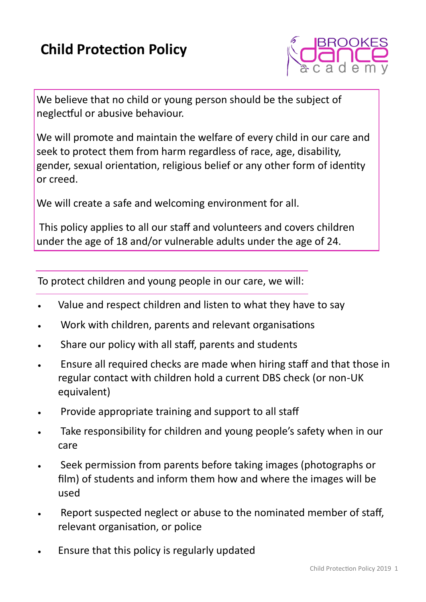## **Child Protection Policy**



We believe that no child or young person should be the subject of neglectful or abusive behaviour.

We will promote and maintain the welfare of every child in our care and seek to protect them from harm regardless of race, age, disability, gender, sexual orientation, religious belief or any other form of identity or creed.

We will create a safe and welcoming environment for all.

This policy applies to all our staff and volunteers and covers children under the age of 18 and/or vulnerable adults under the age of 24.

To protect children and young people in our care, we will:

- Value and respect children and listen to what they have to say
- Work with children, parents and relevant organisations
- Share our policy with all staff, parents and students
- Ensure all required checks are made when hiring staff and that those in regular contact with children hold a current DBS check (or non-UK equivalent)
- Provide appropriate training and support to all staff
- Take responsibility for children and young people's safety when in our care
- Seek permission from parents before taking images (photographs or film) of students and inform them how and where the images will be used
- Report suspected neglect or abuse to the nominated member of staff, relevant organisation, or police
- Ensure that this policy is regularly updated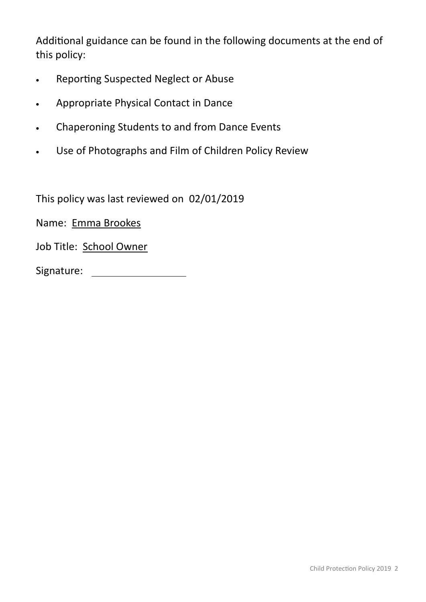Additional guidance can be found in the following documents at the end of this policy:

- **•** Reporting Suspected Neglect or Abuse
- Appropriate Physical Contact in Dance
- Chaperoning Students to and from Dance Events
- Use of Photographs and Film of Children Policy Review

This policy was last reviewed on 02/01/2019

Name: Emma Brookes

Job Title: School Owner

Signature: 2002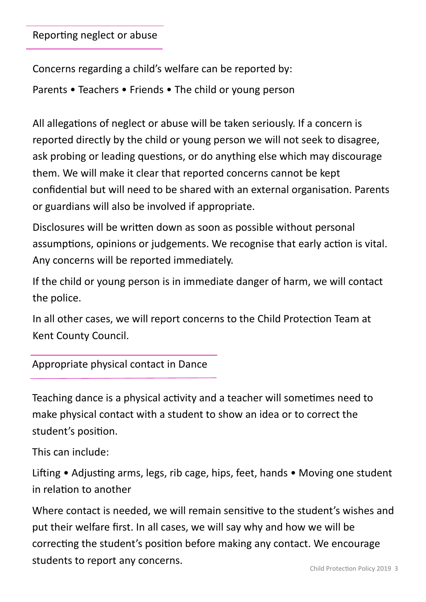Reporting neglect or abuse

Concerns regarding a child's welfare can be reported by:

Parents • Teachers • Friends • The child or young person

All allegations of neglect or abuse will be taken seriously. If a concern is reported directly by the child or young person we will not seek to disagree, ask probing or leading questions, or do anything else which may discourage them. We will make it clear that reported concerns cannot be kept confidential but will need to be shared with an external organisation. Parents or guardians will also be involved if appropriate.

Disclosures will be written down as soon as possible without personal assumptions, opinions or judgements. We recognise that early action is vital. Any concerns will be reported immediately.

If the child or young person is in immediate danger of harm, we will contact the police.

In all other cases, we will report concerns to the Child Protection Team at Kent County Council.

Appropriate physical contact in Dance

Teaching dance is a physical activity and a teacher will sometimes need to make physical contact with a student to show an idea or to correct the student's position.

This can include:

Lifting • Adjusting arms, legs, rib cage, hips, feet, hands • Moving one student in relation to another

Where contact is needed, we will remain sensitive to the student's wishes and put their welfare first. In all cases, we will say why and how we will be correcting the student's position before making any contact. We encourage students to report any concerns.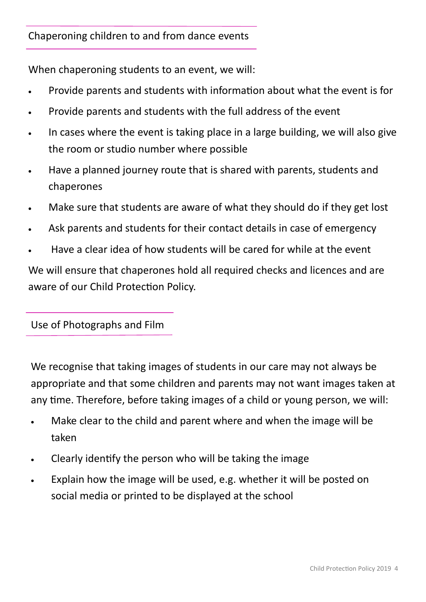## Chaperoning children to and from dance events

When chaperoning students to an event, we will:

- Provide parents and students with information about what the event is for
- Provide parents and students with the full address of the event
- In cases where the event is taking place in a large building, we will also give the room or studio number where possible
- Have a planned journey route that is shared with parents, students and chaperones
- Make sure that students are aware of what they should do if they get lost
- Ask parents and students for their contact details in case of emergency
- Have a clear idea of how students will be cared for while at the event We will ensure that chaperones hold all required checks and licences and are aware of our Child Protection Policy.

Use of Photographs and Film

We recognise that taking images of students in our care may not always be appropriate and that some children and parents may not want images taken at any time. Therefore, before taking images of a child or young person, we will:

- Make clear to the child and parent where and when the image will be taken
- Clearly identify the person who will be taking the image
- Explain how the image will be used, e.g. whether it will be posted on social media or printed to be displayed at the school